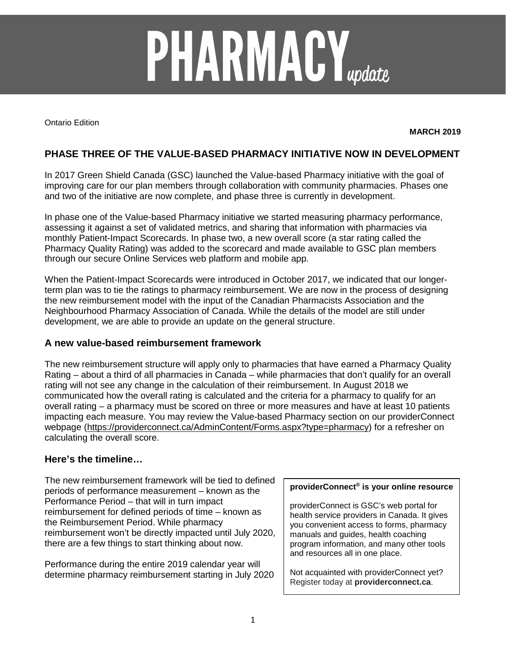# **PHARMACY**<sub>update</sub>

Ontario Edition

**MARCH 2019**

# **PHASE THREE OF THE VALUE-BASED PHARMACY INITIATIVE NOW IN DEVELOPMENT**

In 2017 Green Shield Canada (GSC) launched the Value-based Pharmacy initiative with the goal of improving care for our plan members through collaboration with community pharmacies. Phases one and two of the initiative are now complete, and phase three is currently in development.

In phase one of the Value-based Pharmacy initiative we started measuring pharmacy performance, assessing it against a set of validated metrics, and sharing that information with pharmacies via monthly Patient-Impact Scorecards. In phase two, a new overall score (a star rating called the Pharmacy Quality Rating) was added to the scorecard and made available to GSC plan members through our secure Online Services web platform and mobile app.

When the Patient-Impact Scorecards were introduced in October 2017, we indicated that our longerterm plan was to tie the ratings to pharmacy reimbursement. We are now in the process of designing the new reimbursement model with the input of the Canadian Pharmacists Association and the Neighbourhood Pharmacy Association of Canada. While the details of the model are still under development, we are able to provide an update on the general structure.

#### **A new value-based reimbursement framework**

The new reimbursement structure will apply only to pharmacies that have earned a Pharmacy Quality Rating – about a third of all pharmacies in Canada – while pharmacies that don't qualify for an overall rating will not see any change in the calculation of their reimbursement. In August 2018 we communicated how the overall rating is calculated and the criteria for a pharmacy to qualify for an overall rating – a pharmacy must be scored on three or more measures and have at least 10 patients impacting each measure. You may review the Value-based Pharmacy section on our providerConnect webpage [\(https://providerconnect.ca/AdminContent/Forms.aspx?type=pharmacy\)](https://providerconnect.ca/AdminContent/Forms.aspx?type=pharmacy) for a refresher on calculating the overall score.

### **Here's the timeline…**

The new reimbursement framework will be tied to defined periods of performance measurement – known as the Performance Period – that will in turn impact reimbursement for defined periods of time – known as the Reimbursement Period. While pharmacy reimbursement won't be directly impacted until July 2020, there are a few things to start thinking about now.

Performance during the entire 2019 calendar year will determine pharmacy reimbursement starting in July 2020

#### **providerConnect® is your online resource**

providerConnect is GSC's web portal for health service providers in Canada. It gives you convenient access to forms, pharmacy manuals and guides, health coaching program information, and many other tools and resources all in one place.

Not acquainted with providerConnect yet? Register today at **providerconnect.ca**.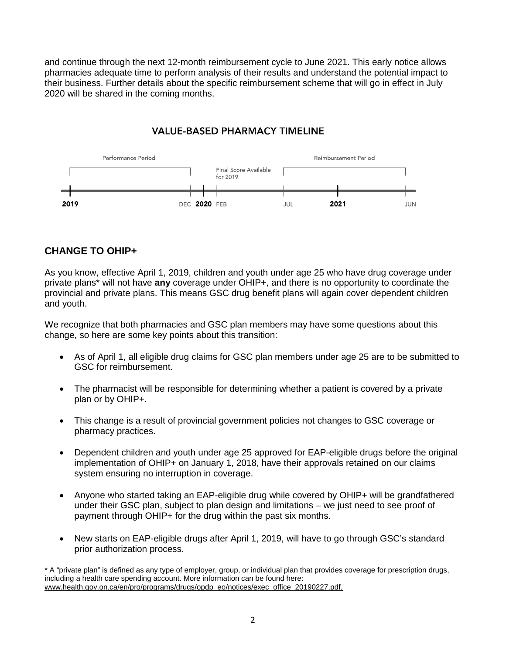and continue through the next 12-month reimbursement cycle to June 2021. This early notice allows pharmacies adequate time to perform analysis of their results and understand the potential impact to their business. Further details about the specific reimbursement scheme that will go in effect in July 2020 will be shared in the coming months.

# **VALUE-BASED PHARMACY TIMELINE**



# **CHANGE TO OHIP+**

As you know, effective April 1, 2019, children and youth under age 25 who have drug coverage under private plans\* will not have **any** coverage under OHIP+, and there is no opportunity to coordinate the provincial and private plans. This means GSC drug benefit plans will again cover dependent children and youth.

We recognize that both pharmacies and GSC plan members may have some questions about this change, so here are some key points about this transition:

- As of April 1, all eligible drug claims for GSC plan members under age 25 are to be submitted to GSC for reimbursement.
- The pharmacist will be responsible for determining whether a patient is covered by a private plan or by OHIP+.
- This change is a result of provincial government policies not changes to GSC coverage or pharmacy practices.
- Dependent children and youth under age 25 approved for EAP-eligible drugs before the original implementation of OHIP+ on January 1, 2018, have their approvals retained on our claims system ensuring no interruption in coverage.
- Anyone who started taking an EAP-eligible drug while covered by OHIP+ will be grandfathered under their GSC plan, subject to plan design and limitations – we just need to see proof of payment through OHIP+ for the drug within the past six months.
- New starts on EAP-eligible drugs after April 1, 2019, will have to go through GSC's standard prior authorization process.

\* A "private plan" is defined as any type of employer, group, or individual plan that provides coverage for prescription drugs, including a health care spending account. More information can be found here: [www.health.gov.on.ca/en/pro/programs/drugs/opdp\\_eo/notices/exec\\_office\\_20190227.pdf.](http://www.health.gov.on.ca/en/pro/programs/drugs/opdp_eo/notices/exec_office_20190227.pdf)